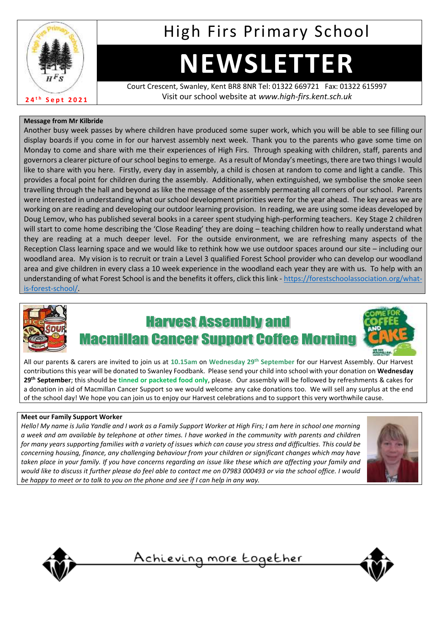

# High Firs Primary School

# **NEWSLETTER**

Court Crescent, Swanley, Kent BR8 8NR Tel: 01322 669721 Fax: 01322 615997 Visit our school website at *www.high-firs.kent.sch.uk*

#### **Message from Mr Kilbride**

Another busy week passes by where children have produced some super work, which you will be able to see filling our display boards if you come in for our harvest assembly next week. Thank you to the parents who gave some time on Monday to come and share with me their experiences of High Firs. Through speaking with children, staff, parents and governors a clearer picture of our school begins to emerge. As a result of Monday's meetings, there are two things I would like to share with you here. Firstly, every day in assembly, a child is chosen at random to come and light a candle. This provides a focal point for children during the assembly. Additionally, when extinguished, we symbolise the smoke seen travelling through the hall and beyond as like the message of the assembly permeating all corners of our school. Parents were interested in understanding what our school development priorities were for the year ahead. The key areas we are working on are reading and developing our outdoor learning provision. In reading, we are using some ideas developed by Doug Lemov, who has published several books in a career spent studying high-performing teachers. Key Stage 2 children will start to come home describing the 'Close Reading' they are doing – teaching children how to really understand what they are reading at a much deeper level. For the outside environment, we are refreshing many aspects of the Reception Class learning space and we would like to rethink how we use outdoor spaces around our site – including our woodland area. My vision is to recruit or train a Level 3 qualified Forest School provider who can develop our woodland area and give children in every class a 10 week experience in the woodland each year they are with us. To help with an understanding of what Forest School is and the benefits it offers, click this link - [https://forestschoolassociation.org/what](https://forestschoolassociation.org/what-is-forest-school/)[is-forest-school/.](https://forestschoolassociation.org/what-is-forest-school/)



## **Harvest Assembly and an Cancer Support Coffee**



All our parents & carers are invited to join us at **10.15am** on **Wednesday 29th September** for our Harvest Assembly. Our Harvest contributions this year will be donated to Swanley Foodbank. Please send your child into school with your donation on **Wednesday 29th September**; this should be **tinned or packeted food only**, please. Our assembly will be followed by refreshments & cakes for a donation in aid of Macmillan Cancer Support so we would welcome any cake donations too. We will sell any surplus at the end of the school day! We hope you can join us to enjoy our Harvest celebrations and to support this very worthwhile cause.

#### **Meet our Family Support Worker**

*Hello! My name is Julia Yandle and I work as a Family Support Worker at High Firs; I am here in school one morning a week and am available by telephone at other times. I have worked in the community with parents and children for many years supporting families with a variety of issues which can cause you stress and difficulties. This could be concerning housing, finance, any challenging behaviour from your children or significant changes which may have taken place in your family. If you have concerns regarding an issue like these which are affecting your family and would like to discuss it further please do feel able to contact me on 07983 000493 or via the school office. I would be happy to meet or to talk to you on the phone and see if I can help in any way.*





<u>Achieving more together</u>

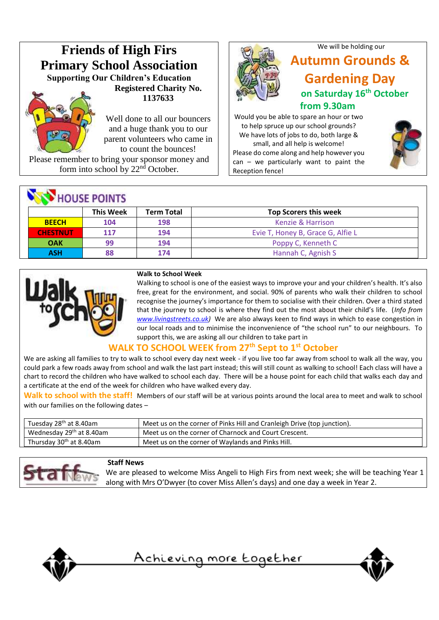

form into school by  $22<sup>nd</sup>$  October.

## **NEW HOUSE POINTS**

|                 | <b>This Week</b> | <b>Term Total</b> | <b>Top Scorers this week</b>      |  |
|-----------------|------------------|-------------------|-----------------------------------|--|
| <b>BEECH</b>    | 104              | 198               | Kenzie & Harrison                 |  |
| <b>CHESTNUT</b> | 117              | 194               | Evie T, Honey B, Grace G, Alfie L |  |
| <b>OAK</b>      | qq               | 194               | Poppy C, Kenneth C                |  |
| ASH             |                  | 174               | Hannah C, Agnish S                |  |



#### **Walk to School Week**

Walking to school is one of the easiest ways to improve your and your children's health. It's also free, great for the environment, and social. 90% of parents who walk their children to school recognise the journey's importance for them to socialise with their children. Over a third stated that the journey to school is where they find out the most about their child's life. (*Info from [www.livingstreets.co.uk\)](http://www.livingstreets.co.uk/)* We are also always keen to find ways in which to ease congestion in our local roads and to minimise the inconvenience of "the school run" to our neighbours. To support this, we are asking all our children to take part in

#### **WALK TO SCHOOL WEEK from 27th Sept to 1 st October**

We are asking all families to try to walk to school every day next week - if you live too far away from school to walk all the way, you could park a few roads away from school and walk the last part instead; this will still count as walking to school! Each class will have a chart to record the children who have walked to school each day. There will be a house point for each child that walks each day and a certificate at the end of the week for children who have walked every day.

**Walk to school with the staff!** Members of our staff will be at various points around the local area to meet and walk to school with our families on the following dates –

| Tuesday 28 <sup>th</sup> at 8.40am   | Meet us on the corner of Pinks Hill and Cranleigh Drive (top junction). |
|--------------------------------------|-------------------------------------------------------------------------|
| Wednesday 29 <sup>th</sup> at 8.40am | Meet us on the corner of Charnock and Court Crescent.                   |
| Thursday 30 <sup>th</sup> at 8.40am  | Meet us on the corner of Waylands and Pinks Hill.                       |



#### **Staff News**

We are pleased to welcome Miss Angeli to High Firs from next week; she will be teaching Year 1 along with Mrs O'Dwyer (to cover Miss Allen's days) and one day a week in Year 2.



<u>Achieving more together</u>





### **Autumn Grounds & Gardening Day on Saturday 16th October from 9.30am**

We will be holding our

Would you be able to spare an hour or two to help spruce up our school grounds? We have lots of jobs to do, both large & small, and all help is welcome! Please do come along and help however you can – we particularly want to paint the Reception fence!

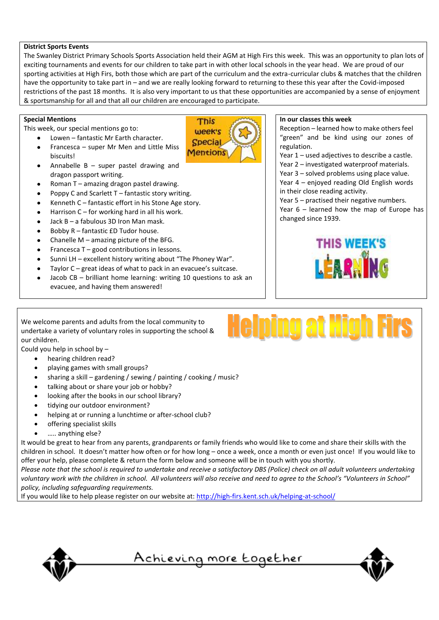#### **District Sports Events**

The Swanley District Primary Schools Sports Association held their AGM at High Firs this week. This was an opportunity to plan lots of exciting tournaments and events for our children to take part in with other local schools in the year head. We are proud of our sporting activities at High Firs, both those which are part of the curriculum and the extra-curricular clubs & matches that the children have the opportunity to take part in – and we are really looking forward to returning to these this year after the Covid-imposed restrictions of the past 18 months. It is also very important to us that these opportunities are accompanied by a sense of enjoyment & sportsmanship for all and that all our children are encouraged to participate.

> This week's **Special Mentions**

#### **Special Mentions**

This week, our special mentions go to:

- Lowen fantastic Mr Earth character. • Francesca – super Mr Men and Little Miss biscuits!
- Annabelle  $B -$  super pastel drawing and dragon passport writing.
- Roman T amazing dragon pastel drawing.
- Poppy C and Scarlett  $T -$  fantastic story writing.
- Kenneth C fantastic effort in his Stone Age story.
- Harrison  $C$  for working hard in all his work.
- Jack B a fabulous 3D Iron Man mask.
- Bobby R fantastic £D Tudor house.
- Chanelle  $M$  amazing picture of the BFG.
- Francesca  $T -$  good contributions in lessons.
- Sunni LH excellent history writing about "The Phoney War".
- Taylor  $C$  great ideas of what to pack in an evacuee's suitcase.
- Jacob CB brilliant home learning: writing 10 questions to ask an evacuee, and having them answered!

#### **In our classes this week**

Reception – learned how to make others feel "green" and be kind using our zones of regulation.

Year 1 – used adjectives to describe a castle. Year 2 – investigated waterproof materials. Year 3 – solved problems using place value. Year 4 – enjoyed reading Old English words in their close reading activity.

Year 5 – practised their negative numbers.

Year 6 – learned how the map of Europe has changed since 1939.



We welcome parents and adults from the local community to undertake a variety of voluntary roles in supporting the school & our children.

Could you help in school by –

- hearing children read?
- playing games with small groups?
- sharing a skill gardening / sewing / painting / cooking / music?
- talking about or share your job or hobby?
- looking after the books in our school library?
- tidying our outdoor environment?
- helping at or running a lunchtime or after-school club?
- offering specialist skills
- ….. anything else?

It would be great to hear from any parents, grandparents or family friends who would like to come and share their skills with the children in school. It doesn't matter how often or for how long – once a week, once a month or even just once! If you would like to offer your help, please complete & return the form below and someone will be in touch with you shortly.

Please note that the school is required to undertake and receive a satisfactory DBS (Police) check on all adult volunteers undertaking voluntary work with the children in school. All volunteers will also receive and need to agree to the School's "Volunteers in School" *policy, including safeguarding requirements.*

If you would like to help please register on our website at[: http://high-firs.kent.sch.uk/helping-at-school/](http://high-firs.kent.sch.uk/helping-at-school/)





<u>Achieving more together</u>